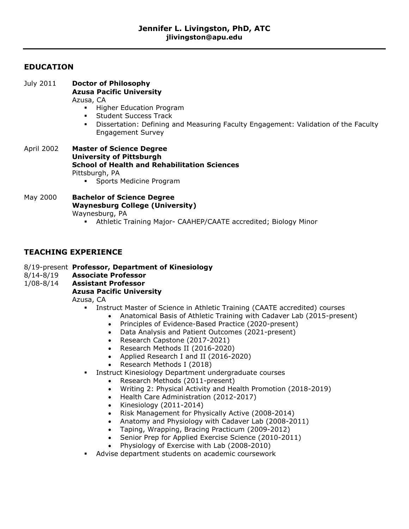# **EDUCATION**

| July 2011  | <b>Doctor of Philosophy</b><br><b>Azusa Pacific University</b><br>Azusa, CA<br>Higher Education Program<br>٠<br><b>Student Success Track</b><br>Dissertation: Defining and Measuring Faculty Engagement: Validation of the Faculty<br>٠<br><b>Engagement Survey</b> |
|------------|---------------------------------------------------------------------------------------------------------------------------------------------------------------------------------------------------------------------------------------------------------------------|
| April 2002 | <b>Master of Science Degree</b><br><b>University of Pittsburgh</b><br><b>School of Health and Rehabilitation Sciences</b><br>Pittsburgh, PA<br>Sports Medicine Program<br>$\blacksquare$                                                                            |
| May 2000   | <b>Bachelor of Science Degree</b><br><b>Waynesburg College (University)</b><br>Waynesburg, PA<br>Athletic Training Major- CAAHEP/CAATE accredited; Biology Minor                                                                                                    |

# **TEACHING EXPERIENCE**

- 8/19-present **Professor, Department of Kinesiology**
- 8/14-8/19 **Associate Professor**
- 1/08-8/14 **Assistant Professor**

## **Azusa Pacific University**

Azusa, CA

- **Instruct Master of Science in Athletic Training (CAATE accredited) courses** 
	- Anatomical Basis of Athletic Training with Cadaver Lab (2015-present)
		- Principles of Evidence-Based Practice (2020-present)
		- Data Analysis and Patient Outcomes (2021-present)
		- Research Capstone (2017-2021)
		- Research Methods II (2016-2020)
		- Applied Research I and II (2016-2020)
		- Research Methods I (2018)
	- Instruct Kinesiology Department undergraduate courses
		- Research Methods (2011-present)
		- Writing 2: Physical Activity and Health Promotion (2018-2019)
		- Health Care Administration (2012-2017)
		- $\bullet$  Kinesiology (2011-2014)
		- Risk Management for Physically Active (2008-2014)
		- Anatomy and Physiology with Cadaver Lab (2008-2011)
		- Taping, Wrapping, Bracing Practicum (2009-2012)
		- Senior Prep for Applied Exercise Science (2010-2011)
		- Physiology of Exercise with Lab (2008-2010)
- **Advise department students on academic coursework**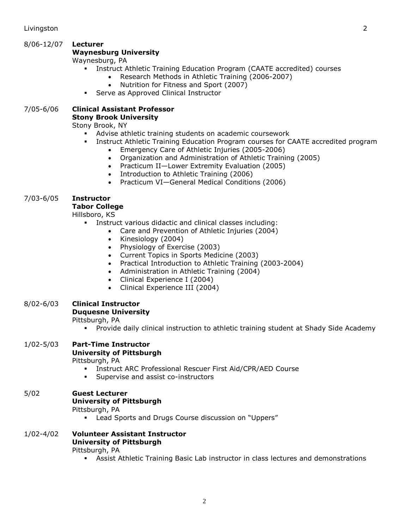# 8/06-12/07 **Lecturer**

## **Waynesburg University**

Waynesburg, PA

- **EXEDENT Instruct Athletic Training Education Program (CAATE accredited) courses** 
	- Research Methods in Athletic Training (2006-2007)
	- Nutrition for Fitness and Sport (2007)
- **Serve as Approved Clinical Instructor**

#### 7/05-6/06 **Clinical Assistant Professor Stony Brook University**

Stony Brook, NY

- Advise athletic training students on academic coursework
- **I.** Instruct Athletic Training Education Program courses for CAATE accredited program
	- Emergency Care of Athletic Injuries (2005-2006)
		- Organization and Administration of Athletic Training (2005)
		- Practicum II-Lower Extremity Evaluation (2005)
		- Introduction to Athletic Training (2006)
		- Practicum VI—General Medical Conditions (2006)

## 7/03-6/05 **Instructor**

## **Tabor College**

Hillsboro, KS

- Instruct various didactic and clinical classes including:
	- Care and Prevention of Athletic Injuries (2004)
		- Kinesiology (2004)
	- Physiology of Exercise (2003)
	- Current Topics in Sports Medicine (2003)
	- Practical Introduction to Athletic Training (2003-2004)
	- Administration in Athletic Training (2004)
	- Clinical Experience I (2004)
	- Clinical Experience III (2004)

#### 8/02-6/03 **Clinical Instructor**

#### **Duquesne University**

Pittsburgh, PA

Provide daily clinical instruction to athletic training student at Shady Side Academy

|               | The ride daily cinnedi modiaction to admedic d'amin'ig ocaacht at onaay olde Alcade                                                                                                             |
|---------------|-------------------------------------------------------------------------------------------------------------------------------------------------------------------------------------------------|
| $1/02 - 5/03$ | <b>Part-Time Instructor</b><br><b>University of Pittsburgh</b><br>Pittsburgh, PA<br>Instruct ARC Professional Rescuer First Aid/CPR/AED Course<br>٠<br>Supervise and assist co-instructors<br>٠ |
| 5/02          | <b>Guest Lecturer</b><br><b>University of Pittsburgh</b><br>Pittsburgh, PA<br>Lead Sports and Drugs Course discussion on "Uppers"<br>٠                                                          |
| $1/02 - 4/02$ | <b>Volunteer Assistant Instructor</b><br><b>University of Pittsburgh</b><br>Pittsburgh, PA<br>Assist Athletic Training Basic Lab instructor in class lectures and demonstrations<br>٠           |
|               |                                                                                                                                                                                                 |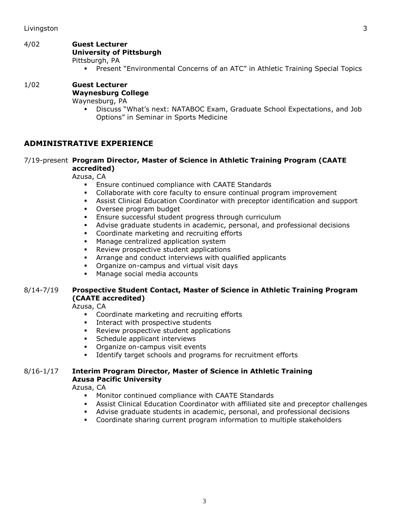# 4/02 **Guest Lecturer**

# **University of Pittsburgh**

Pittsburgh, PA

Present "Environmental Concerns of an ATC" in Athletic Training Special Topics

# 1/02 **Guest Lecturer Waynesburg College**

Waynesburg, PA

 Discuss "What's next: NATABOC Exam, Graduate School Expectations, and Job Options" in Seminar in Sports Medicine

# **ADMINISTRATIVE EXPERIENCE**

## 7/19-present **Program Director, Master of Science in Athletic Training Program (CAATE accredited)**

Azusa, CA

- **Ensure continued compliance with CAATE Standards**
- Collaborate with core faculty to ensure continual program improvement
- Assist Clinical Education Coordinator with preceptor identification and support
- Oversee program budget
- Ensure successful student progress through curriculum
- Advise graduate students in academic, personal, and professional decisions
- Coordinate marketing and recruiting efforts
- **Manage centralized application system**
- **Review prospective student applications**
- Arrange and conduct interviews with qualified applicants
- **•** Organize on-campus and virtual visit days
- **Manage social media accounts**

## 8/14-7/19 **Prospective Student Contact, Master of Science in Athletic Training Program (CAATE accredited)**

Azusa, CA

- Coordinate marketing and recruiting efforts
- **Interact with prospective students**
- **Review prospective student applications**
- **Schedule applicant interviews**
- **•** Organize on-campus visit events
- **IDENTIFY** target schools and programs for recruitment efforts

#### 8/16-1/17 **Interim Program Director, Master of Science in Athletic Training Azusa Pacific University**

Azusa, CA

- **Monitor continued compliance with CAATE Standards**
- Assist Clinical Education Coordinator with affiliated site and preceptor challenges
- Advise graduate students in academic, personal, and professional decisions
- Coordinate sharing current program information to multiple stakeholders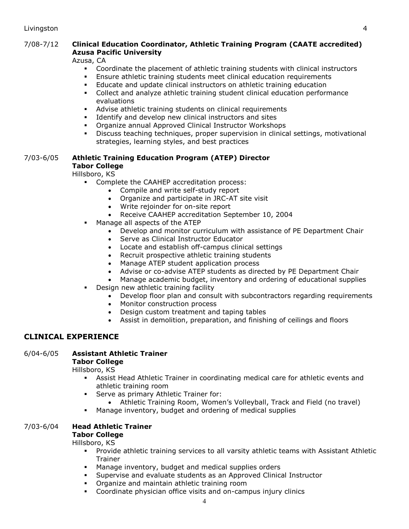## 7/08-7/12 **Clinical Education Coordinator, Athletic Training Program (CAATE accredited) Azusa Pacific University**

Azusa, CA

- Coordinate the placement of athletic training students with clinical instructors
- Ensure athletic training students meet clinical education requirements
- Educate and update clinical instructors on athletic training education
- Collect and analyze athletic training student clinical education performance evaluations
- Advise athletic training students on clinical requirements
- Identify and develop new clinical instructors and sites
- Organize annual Approved Clinical Instructor Workshops
- Discuss teaching techniques, proper supervision in clinical settings, motivational strategies, learning styles, and best practices

## 7/03-6/05 **Athletic Training Education Program (ATEP) Director Tabor College**

Hillsboro, KS

- Complete the CAAHEP accreditation process:
	- Compile and write self-study report
	- Organize and participate in JRC-AT site visit
	- Write rejoinder for on-site report
	- Receive CAAHEP accreditation September 10, 2004
- Manage all aspects of the ATEP
	- Develop and monitor curriculum with assistance of PE Department Chair
	- Serve as Clinical Instructor Educator
	- Locate and establish off-campus clinical settings
	- Recruit prospective athletic training students
	- Manage ATEP student application process
	- Advise or co-advise ATEP students as directed by PE Department Chair
	- Manage academic budget, inventory and ordering of educational supplies
- Design new athletic training facility
	- Develop floor plan and consult with subcontractors regarding requirements
	- Monitor construction process
	- Design custom treatment and taping tables
	- Assist in demolition, preparation, and finishing of ceilings and floors

## **CLINICAL EXPERIENCE**

## 6/04-6/05 **Assistant Athletic Trainer**

**Tabor College**

Hillsboro, KS

- Assist Head Athletic Trainer in coordinating medical care for athletic events and athletic training room
- **Serve as primary Athletic Trainer for:** 
	- Athletic Training Room, Women's Volleyball, Track and Field (no travel)
- Manage inventory, budget and ordering of medical supplies

# 7/03-6/04 **Head Athletic Trainer**

#### **Tabor College**

Hillsboro, KS

- Provide athletic training services to all varsity athletic teams with Assistant Athletic Trainer
- Manage inventory, budget and medical supplies orders
- Supervise and evaluate students as an Approved Clinical Instructor
- **•** Organize and maintain athletic training room
- Coordinate physician office visits and on-campus injury clinics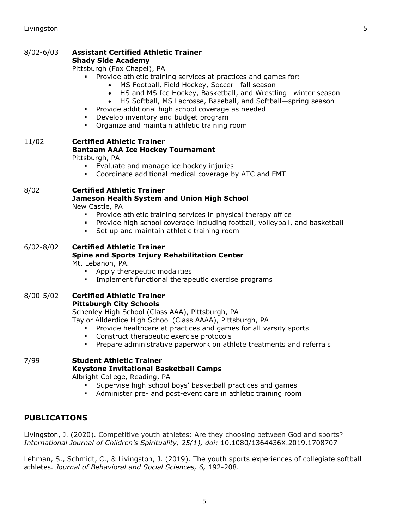#### 8/02-6/03 **Assistant Certified Athletic Trainer Shady Side Academy**

Pittsburgh (Fox Chapel), PA

- Provide athletic training services at practices and games for:
	- MS Football, Field Hockey, Soccer—fall season
	- HS and MS Ice Hockey, Basketball, and Wrestling—winter season
	- HS Softball, MS Lacrosse, Baseball, and Softball—spring season
- **Provide additional high school coverage as needed**
- **•** Develop inventory and budget program
- Organize and maintain athletic training room

# 11/02 **Certified Athletic Trainer Bantaam AAA Ice Hockey Tournament**

Pittsburgh, PA

- Evaluate and manage ice hockey injuries
- Coordinate additional medical coverage by ATC and EMT

## 8/02 **Certified Athletic Trainer**

# **Jameson Health System and Union High School**

New Castle, PA

- **Provide athletic training services in physical therapy office**
- Provide high school coverage including football, volleyball, and basketball
- Set up and maintain athletic training room

# 6/02-8/02 **Certified Athletic Trainer Spine and Sports Injury Rehabilitation Center**

Mt. Lebanon, PA.

- Apply therapeutic modalities
- Implement functional therapeutic exercise programs

#### 8/00-5/02 **Certified Athletic Trainer Pittsburgh City Schools**

Schenley High School (Class AAA), Pittsburgh, PA

Taylor Allderdice High School (Class AAAA), Pittsburgh, PA

- Provide healthcare at practices and games for all varsity sports
- **Construct therapeutic exercise protocols**
- Prepare administrative paperwork on athlete treatments and referrals

# 7/99 **Student Athletic Trainer Keystone Invitational Basketball Camps**

Albright College, Reading, PA

- Supervise high school boys' basketball practices and games
- Administer pre- and post-event care in athletic training room

# **PUBLICATIONS**

Livingston, J. (2020). Competitive youth athletes: Are they choosing between God and sports? *International Journal of Children's Spirituality, 25(1), doi:* 10.1080/1364436X.2019.1708707

Lehman, S., Schmidt, C., & Livingston, J. (2019). The youth sports experiences of collegiate softball athletes. *Journal of Behavioral and Social Sciences, 6,* 192-208.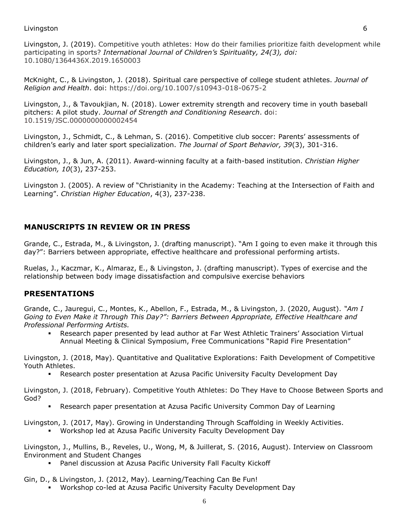Livingston, J. (2019). Competitive youth athletes: How do their families prioritize faith development while participating in sports? *International Journal of Children's Spirituality, 24(3), doi:* 10.1080/1364436X.2019.1650003

McKnight, C., & Livingston, J. (2018). Spiritual care perspective of college student athletes. *Journal of Religion and Health*. doi: https://doi.org/10.1007/s10943-018-0675-2

Livingston, J., & Tavoukjian, N. (2018). Lower extremity strength and recovery time in youth baseball pitchers: A pilot study. *Journal of Strength and Conditioning Research*. doi: 10.1519/JSC.0000000000002454

Livingston, J., Schmidt, C., & Lehman, S. (2016). Competitive club soccer: Parents' assessments of children's early and later sport specialization. *The Journal of Sport Behavior, 39*(3), 301-316.

Livingston, J., & Jun, A. (2011). Award-winning faculty at a faith-based institution. *Christian Higher Education, 10*(3), 237-253.

Livingston J. (2005). A review of "Christianity in the Academy: Teaching at the Intersection of Faith and Learning". *Christian Higher Education*, 4(3), 237-238.

# **MANUSCRIPTS IN REVIEW OR IN PRESS**

Grande, C., Estrada, M., & Livingston, J. (drafting manuscript). "Am I going to even make it through this day?": Barriers between appropriate, effective healthcare and professional performing artists.

Ruelas, J., Kaczmar, K., Almaraz, E., & Livingston, J. (drafting manuscript). Types of exercise and the relationship between body image dissatisfaction and compulsive exercise behaviors

## **PRESENTATIONS**

Grande, C., Jauregui, C., Montes, K., Abellon, F., Estrada, M., & Livingston, J. (2020, August). *"Am I Going to Even Make it Through This Day?": Barriers Between Appropriate, Effective Healthcare and Professional Performing Artists.*

 Research paper presented by lead author at Far West Athletic Trainers' Association Virtual Annual Meeting & Clinical Symposium, Free Communications "Rapid Fire Presentation"

Livingston, J. (2018, May). Quantitative and Qualitative Explorations: Faith Development of Competitive Youth Athletes.

Research poster presentation at Azusa Pacific University Faculty Development Day

Livingston, J. (2018, February). Competitive Youth Athletes: Do They Have to Choose Between Sports and God?

Research paper presentation at Azusa Pacific University Common Day of Learning

Livingston, J. (2017, May). Growing in Understanding Through Scaffolding in Weekly Activities.

Workshop led at Azusa Pacific University Faculty Development Day

Livingston, J., Mullins, B., Reveles, U., Wong, M, & Juillerat, S. (2016, August). Interview on Classroom Environment and Student Changes

Panel discussion at Azusa Pacific University Fall Faculty Kickoff

Gin, D., & Livingston, J. (2012, May). Learning/Teaching Can Be Fun!

Workshop co-led at Azusa Pacific University Faculty Development Day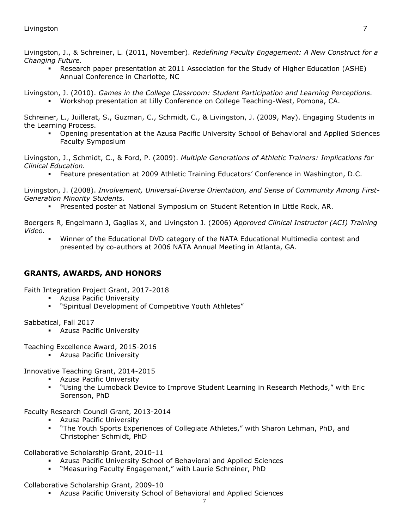## Livingston 7

Livingston, J., & Schreiner, L. (2011, November). *Redefining Faculty Engagement: A New Construct for a Changing Future.*

 Research paper presentation at 2011 Association for the Study of Higher Education (ASHE) Annual Conference in Charlotte, NC

Livingston, J. (2010). *Games in the College Classroom: Student Participation and Learning Perceptions.* Workshop presentation at Lilly Conference on College Teaching-West, Pomona, CA.

Schreiner, L., Juillerat, S., Guzman, C., Schmidt, C., & Livingston, J. (2009, May). Engaging Students in the Learning Process.

 Opening presentation at the Azusa Pacific University School of Behavioral and Applied Sciences Faculty Symposium

Livingston, J., Schmidt, C., & Ford, P. (2009). *Multiple Generations of Athletic Trainers: Implications for Clinical Education.*

Feature presentation at 2009 Athletic Training Educators' Conference in Washington, D.C.

Livingston, J. (2008). *Involvement, Universal-Diverse Orientation, and Sense of Community Among First-Generation Minority Students.*

Presented poster at National Symposium on Student Retention in Little Rock, AR.

Boergers R, Engelmann J, Gaglias X, and Livingston J. (2006) *Approved Clinical Instructor (ACI) Training Video.*

 Winner of the Educational DVD category of the NATA Educational Multimedia contest and presented by co-authors at 2006 NATA Annual Meeting in Atlanta, GA.

# **GRANTS, AWARDS, AND HONORS**

Faith Integration Project Grant, 2017-2018

- Azusa Pacific University
- "Spiritual Development of Competitive Youth Athletes"

Sabbatical, Fall 2017

**Azusa Pacific University** 

Teaching Excellence Award, 2015-2016

**Azusa Pacific University** 

Innovative Teaching Grant, 2014-2015

- **Azusa Pacific University**
- "Using the Lumoback Device to Improve Student Learning in Research Methods," with Eric Sorenson, PhD

Faculty Research Council Grant, 2013-2014

- Azusa Pacific University
- "The Youth Sports Experiences of Collegiate Athletes," with Sharon Lehman, PhD, and Christopher Schmidt, PhD

Collaborative Scholarship Grant, 2010-11

- Azusa Pacific University School of Behavioral and Applied Sciences
- "Measuring Faculty Engagement," with Laurie Schreiner, PhD

Collaborative Scholarship Grant, 2009-10

Azusa Pacific University School of Behavioral and Applied Sciences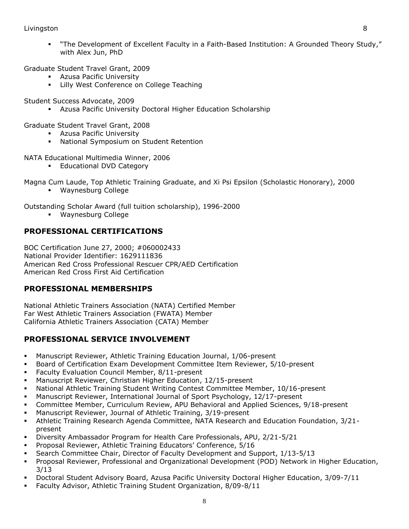## Livingston 8

 "The Development of Excellent Faculty in a Faith-Based Institution: A Grounded Theory Study," with Alex Jun, PhD

Graduate Student Travel Grant, 2009

- Azusa Pacific University
- Lilly West Conference on College Teaching

Student Success Advocate, 2009

Azusa Pacific University Doctoral Higher Education Scholarship

Graduate Student Travel Grant, 2008

- **Azusa Pacific University**
- National Symposium on Student Retention

NATA Educational Multimedia Winner, 2006

**Educational DVD Category** 

Magna Cum Laude, Top Athletic Training Graduate, and Xi Psi Epsilon (Scholastic Honorary), 2000

Waynesburg College

Outstanding Scholar Award (full tuition scholarship), 1996-2000

Waynesburg College

# **PROFESSIONAL CERTIFICATIONS**

BOC Certification June 27, 2000; #060002433 National Provider Identifier: 1629111836 American Red Cross Professional Rescuer CPR/AED Certification American Red Cross First Aid Certification

## **PROFESSIONAL MEMBERSHIPS**

National Athletic Trainers Association (NATA) Certified Member Far West Athletic Trainers Association (FWATA) Member California Athletic Trainers Association (CATA) Member

# **PROFESSIONAL SERVICE INVOLVEMENT**

- Manuscript Reviewer, Athletic Training Education Journal, 1/06-present
- Board of Certification Exam Development Committee Item Reviewer, 5/10-present
- Faculty Evaluation Council Member, 8/11-present
- Manuscript Reviewer, Christian Higher Education, 12/15-present
- National Athletic Training Student Writing Contest Committee Member, 10/16-present
- Manuscript Reviewer, International Journal of Sport Psychology, 12/17-present
- Committee Member, Curriculum Review, APU Behavioral and Applied Sciences, 9/18-present
- Manuscript Reviewer, Journal of Athletic Training, 3/19-present
- Athletic Training Research Agenda Committee, NATA Research and Education Foundation, 3/21 present
- Diversity Ambassador Program for Health Care Professionals, APU, 2/21-5/21
- Proposal Reviewer, Athletic Training Educators' Conference, 5/16
- Search Committee Chair, Director of Faculty Development and Support, 1/13-5/13
- Proposal Reviewer, Professional and Organizational Development (POD) Network in Higher Education, 3/13
- Doctoral Student Advisory Board, Azusa Pacific University Doctoral Higher Education, 3/09-7/11
- Faculty Advisor, Athletic Training Student Organization, 8/09-8/11